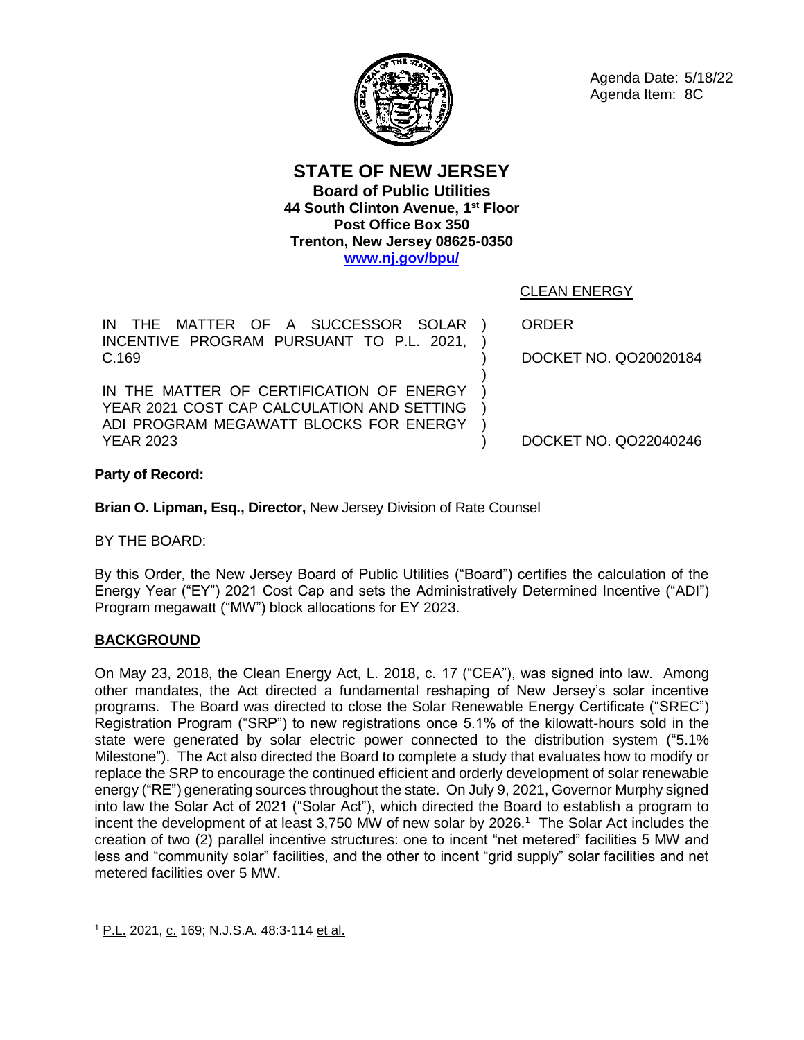

**STATE OF NEW JERSEY Board of Public Utilities 44 South Clinton Avenue, 1 st Floor Post Office Box 350 Trenton, New Jersey 08625-0350 [www.nj.gov/bpu/](http://www.nj.gov/bpu/)**

IN THE MATTER OF A SUCCESSOR SOLAR INCENTIVE PROGRAM PURSUANT TO P.L. 2021, C.169 ) ) ) )

IN THE MATTER OF CERTIFICATION OF ENERGY YEAR 2021 COST CAP CALCULATION AND SETTING ADI PROGRAM MEGAWATT BLOCKS FOR ENERGY YEAR 2023

CLEAN ENERGY

ORDER

) ) ) ) DOCKET NO. QO20020184

DOCKET NO. QO22040246

# **Party of Record:**

**Brian O. Lipman, Esq., Director,** New Jersey Division of Rate Counsel

BY THE BOARD:

By this Order, the New Jersey Board of Public Utilities ("Board") certifies the calculation of the Energy Year ("EY") 2021 Cost Cap and sets the Administratively Determined Incentive ("ADI") Program megawatt ("MW") block allocations for EY 2023.

# **BACKGROUND**

On May 23, 2018, the Clean Energy Act, L. 2018, c. 17 ("CEA"), was signed into law. Among other mandates, the Act directed a fundamental reshaping of New Jersey's solar incentive programs. The Board was directed to close the Solar Renewable Energy Certificate ("SREC") Registration Program ("SRP") to new registrations once 5.1% of the kilowatt-hours sold in the state were generated by solar electric power connected to the distribution system ("5.1% Milestone"). The Act also directed the Board to complete a study that evaluates how to modify or replace the SRP to encourage the continued efficient and orderly development of solar renewable energy ("RE") generating sources throughout the state. On July 9, 2021, Governor Murphy signed into law the Solar Act of 2021 ("Solar Act"), which directed the Board to establish a program to incent the development of at least 3,750 MW of new solar by 2026.<sup>1</sup> The Solar Act includes the creation of two (2) parallel incentive structures: one to incent "net metered" facilities 5 MW and less and "community solar" facilities, and the other to incent "grid supply" solar facilities and net metered facilities over 5 MW.

<sup>&</sup>lt;sup>1</sup> P.L. 2021, c. 169; N.J.S.A. 48:3-114 et al.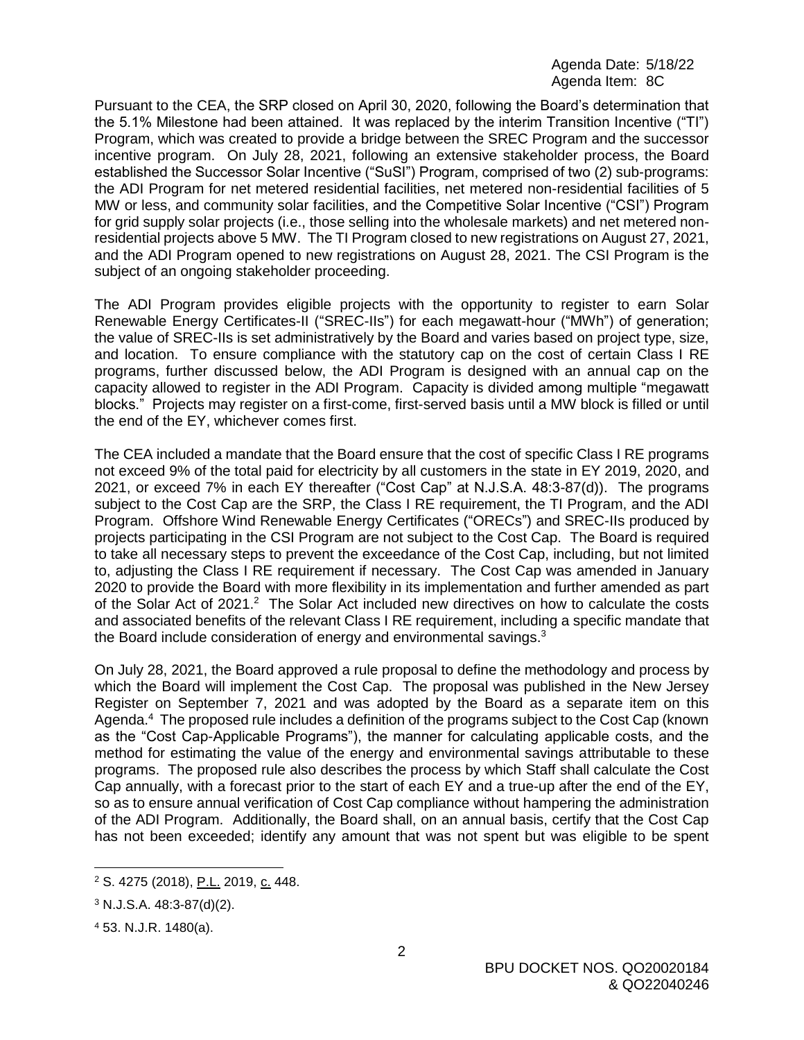Pursuant to the CEA, the SRP closed on April 30, 2020, following the Board's determination that the 5.1% Milestone had been attained. It was replaced by the interim Transition Incentive ("TI") Program, which was created to provide a bridge between the SREC Program and the successor incentive program. On July 28, 2021, following an extensive stakeholder process, the Board established the Successor Solar Incentive ("SuSI") Program, comprised of two (2) sub-programs: the ADI Program for net metered residential facilities, net metered non-residential facilities of 5 MW or less, and community solar facilities, and the Competitive Solar Incentive ("CSI") Program for grid supply solar projects (i.e., those selling into the wholesale markets) and net metered nonresidential projects above 5 MW. The TI Program closed to new registrations on August 27, 2021, and the ADI Program opened to new registrations on August 28, 2021. The CSI Program is the subject of an ongoing stakeholder proceeding.

The ADI Program provides eligible projects with the opportunity to register to earn Solar Renewable Energy Certificates-II ("SREC-IIs") for each megawatt-hour ("MWh") of generation; the value of SREC-IIs is set administratively by the Board and varies based on project type, size, and location. To ensure compliance with the statutory cap on the cost of certain Class I RE programs, further discussed below, the ADI Program is designed with an annual cap on the capacity allowed to register in the ADI Program. Capacity is divided among multiple "megawatt blocks." Projects may register on a first-come, first-served basis until a MW block is filled or until the end of the EY, whichever comes first.

The CEA included a mandate that the Board ensure that the cost of specific Class I RE programs not exceed 9% of the total paid for electricity by all customers in the state in EY 2019, 2020, and 2021, or exceed 7% in each EY thereafter ("Cost Cap" at N.J.S.A. 48:3-87(d)). The programs subject to the Cost Cap are the SRP, the Class I RE requirement, the TI Program, and the ADI Program. Offshore Wind Renewable Energy Certificates ("ORECs") and SREC-IIs produced by projects participating in the CSI Program are not subject to the Cost Cap. The Board is required to take all necessary steps to prevent the exceedance of the Cost Cap, including, but not limited to, adjusting the Class I RE requirement if necessary. The Cost Cap was amended in January 2020 to provide the Board with more flexibility in its implementation and further amended as part of the Solar Act of 2021.<sup>2</sup> The Solar Act included new directives on how to calculate the costs and associated benefits of the relevant Class I RE requirement, including a specific mandate that the Board include consideration of energy and environmental savings.<sup>3</sup>

On July 28, 2021, the Board approved a rule proposal to define the methodology and process by which the Board will implement the Cost Cap. The proposal was published in the New Jersey Register on September 7, 2021 and was adopted by the Board as a separate item on this Agenda.<sup>4</sup> The proposed rule includes a definition of the programs subject to the Cost Cap (known as the "Cost Cap-Applicable Programs"), the manner for calculating applicable costs, and the method for estimating the value of the energy and environmental savings attributable to these programs. The proposed rule also describes the process by which Staff shall calculate the Cost Cap annually, with a forecast prior to the start of each EY and a true-up after the end of the EY, so as to ensure annual verification of Cost Cap compliance without hampering the administration of the ADI Program. Additionally, the Board shall, on an annual basis, certify that the Cost Cap has not been exceeded; identify any amount that was not spent but was eligible to be spent

 $\overline{a}$ 

<sup>&</sup>lt;sup>2</sup> S. 4275 (2018), P.L. 2019, c. 448.

<sup>3</sup> N.J.S.A. 48:3-87(d)(2).

<sup>4</sup> 53. N.J.R. 1480(a).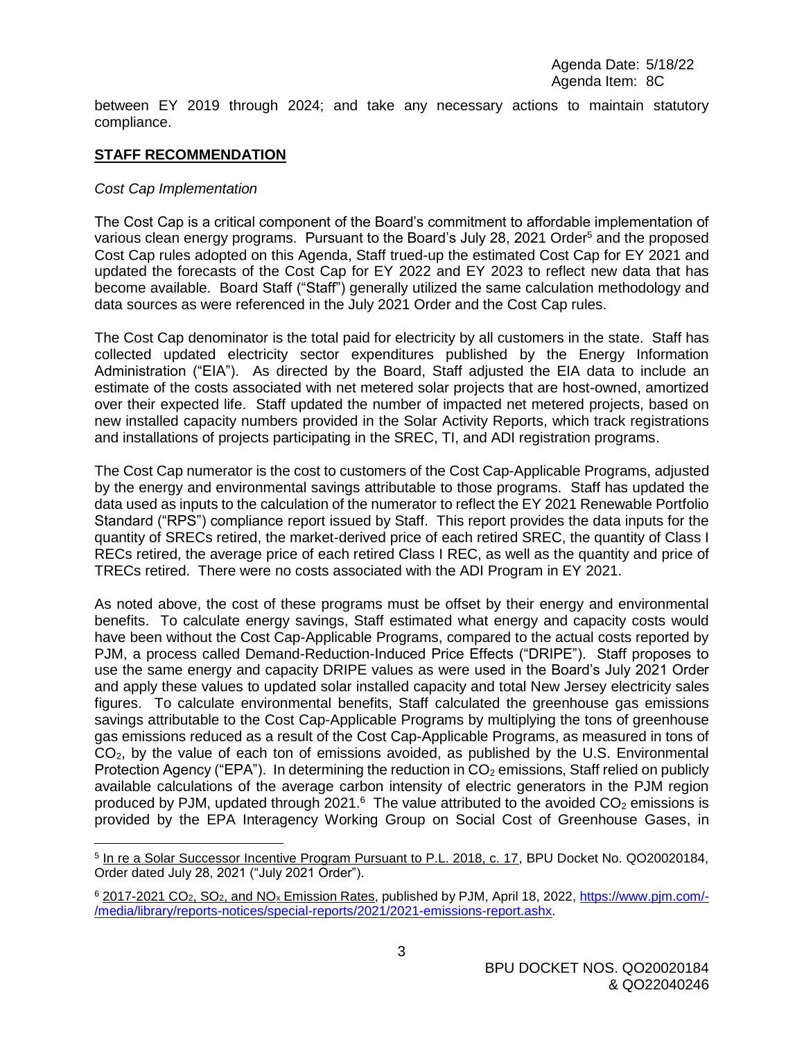between EY 2019 through 2024; and take any necessary actions to maintain statutory compliance.

#### **STAFF RECOMMENDATION**

#### *Cost Cap Implementation*

The Cost Cap is a critical component of the Board's commitment to affordable implementation of various clean energy programs. Pursuant to the Board's July 28, 2021 Order<sup>5</sup> and the proposed Cost Cap rules adopted on this Agenda, Staff trued-up the estimated Cost Cap for EY 2021 and updated the forecasts of the Cost Cap for EY 2022 and EY 2023 to reflect new data that has become available. Board Staff ("Staff") generally utilized the same calculation methodology and data sources as were referenced in the July 2021 Order and the Cost Cap rules.

The Cost Cap denominator is the total paid for electricity by all customers in the state. Staff has collected updated electricity sector expenditures published by the Energy Information Administration ("EIA"). As directed by the Board, Staff adjusted the EIA data to include an estimate of the costs associated with net metered solar projects that are host-owned, amortized over their expected life. Staff updated the number of impacted net metered projects, based on new installed capacity numbers provided in the Solar Activity Reports, which track registrations and installations of projects participating in the SREC, TI, and ADI registration programs.

The Cost Cap numerator is the cost to customers of the Cost Cap-Applicable Programs, adjusted by the energy and environmental savings attributable to those programs. Staff has updated the data used as inputs to the calculation of the numerator to reflect the EY 2021 Renewable Portfolio Standard ("RPS") compliance report issued by Staff. This report provides the data inputs for the quantity of SRECs retired, the market-derived price of each retired SREC, the quantity of Class I RECs retired, the average price of each retired Class I REC, as well as the quantity and price of TRECs retired. There were no costs associated with the ADI Program in EY 2021.

As noted above, the cost of these programs must be offset by their energy and environmental benefits. To calculate energy savings, Staff estimated what energy and capacity costs would have been without the Cost Cap-Applicable Programs, compared to the actual costs reported by PJM, a process called Demand-Reduction-Induced Price Effects ("DRIPE"). Staff proposes to use the same energy and capacity DRIPE values as were used in the Board's July 2021 Order and apply these values to updated solar installed capacity and total New Jersey electricity sales figures. To calculate environmental benefits, Staff calculated the greenhouse gas emissions savings attributable to the Cost Cap-Applicable Programs by multiplying the tons of greenhouse gas emissions reduced as a result of the Cost Cap-Applicable Programs, as measured in tons of  $CO<sub>2</sub>$ , by the value of each ton of emissions avoided, as published by the U.S. Environmental Protection Agency ("EPA"). In determining the reduction in  $CO<sub>2</sub>$  emissions, Staff relied on publicly available calculations of the average carbon intensity of electric generators in the PJM region produced by PJM, updated through 2021.<sup>6</sup> The value attributed to the avoided  $CO<sub>2</sub>$  emissions is provided by the EPA Interagency Working Group on Social Cost of Greenhouse Gases, in

<sup>&</sup>lt;sup>5</sup> In re a Solar Successor Incentive Program Pursuant to P.L. 2018, c. 17, BPU Docket No. QO20020184, Order dated July 28, 2021 ("July 2021 Order").

<sup>6</sup> 2017-2021 CO2, SO2, and NO<sup>x</sup> Emission Rates, published by PJM, April 18, 2022, [https://www.pjm.com/-](https://www.pjm.com/-/media/library/reports-notices/special-reports/2021/2021-emissions-report.ashx) [/media/library/reports-notices/special-reports/2021/2021-emissions-report.ashx.](https://www.pjm.com/-/media/library/reports-notices/special-reports/2021/2021-emissions-report.ashx)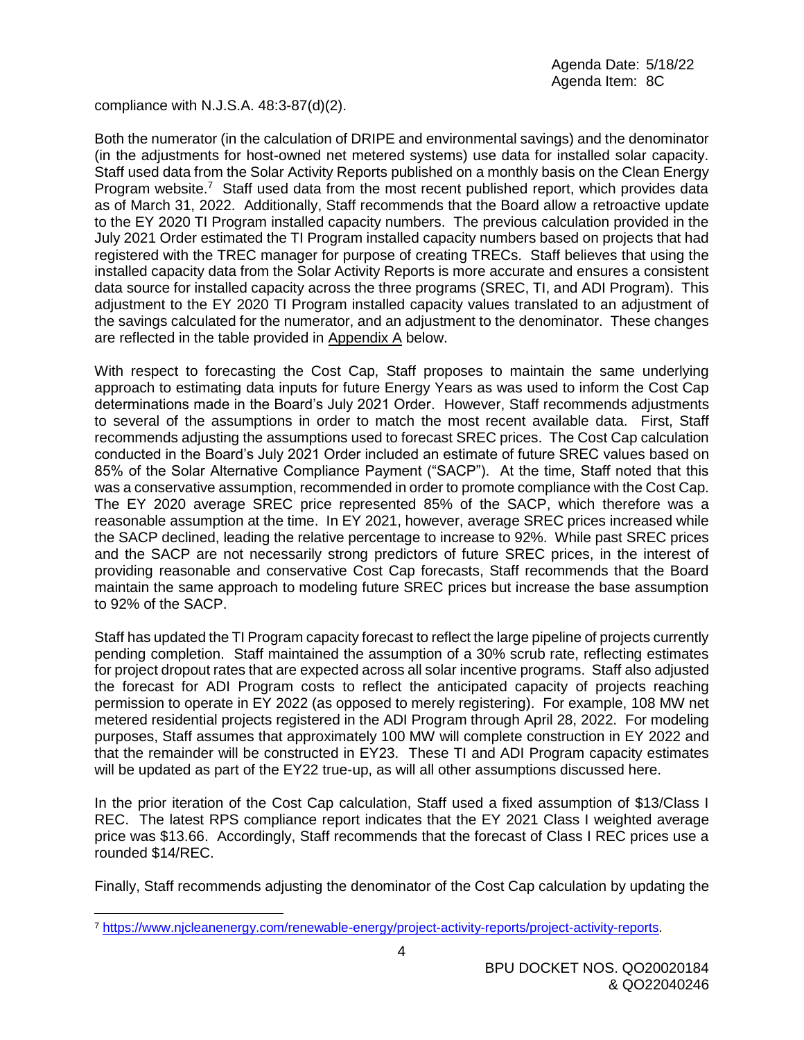compliance with N.J.S.A. 48:3-87(d)(2).

Both the numerator (in the calculation of DRIPE and environmental savings) and the denominator (in the adjustments for host-owned net metered systems) use data for installed solar capacity. Staff used data from the Solar Activity Reports published on a monthly basis on the Clean Energy Program website.<sup>7</sup> Staff used data from the most recent published report, which provides data as of March 31, 2022. Additionally, Staff recommends that the Board allow a retroactive update to the EY 2020 TI Program installed capacity numbers. The previous calculation provided in the July 2021 Order estimated the TI Program installed capacity numbers based on projects that had registered with the TREC manager for purpose of creating TRECs. Staff believes that using the installed capacity data from the Solar Activity Reports is more accurate and ensures a consistent data source for installed capacity across the three programs (SREC, TI, and ADI Program). This adjustment to the EY 2020 TI Program installed capacity values translated to an adjustment of the savings calculated for the numerator, and an adjustment to the denominator. These changes are reflected in the table provided in Appendix A below.

With respect to forecasting the Cost Cap, Staff proposes to maintain the same underlying approach to estimating data inputs for future Energy Years as was used to inform the Cost Cap determinations made in the Board's July 2021 Order. However, Staff recommends adjustments to several of the assumptions in order to match the most recent available data. First, Staff recommends adjusting the assumptions used to forecast SREC prices. The Cost Cap calculation conducted in the Board's July 2021 Order included an estimate of future SREC values based on 85% of the Solar Alternative Compliance Payment ("SACP"). At the time, Staff noted that this was a conservative assumption, recommended in order to promote compliance with the Cost Cap. The EY 2020 average SREC price represented 85% of the SACP, which therefore was a reasonable assumption at the time. In EY 2021, however, average SREC prices increased while the SACP declined, leading the relative percentage to increase to 92%. While past SREC prices and the SACP are not necessarily strong predictors of future SREC prices, in the interest of providing reasonable and conservative Cost Cap forecasts, Staff recommends that the Board maintain the same approach to modeling future SREC prices but increase the base assumption to 92% of the SACP.

Staff has updated the TI Program capacity forecast to reflect the large pipeline of projects currently pending completion. Staff maintained the assumption of a 30% scrub rate, reflecting estimates for project dropout rates that are expected across all solar incentive programs. Staff also adjusted the forecast for ADI Program costs to reflect the anticipated capacity of projects reaching permission to operate in EY 2022 (as opposed to merely registering). For example, 108 MW net metered residential projects registered in the ADI Program through April 28, 2022. For modeling purposes, Staff assumes that approximately 100 MW will complete construction in EY 2022 and that the remainder will be constructed in EY23. These TI and ADI Program capacity estimates will be updated as part of the EY22 true-up, as will all other assumptions discussed here.

In the prior iteration of the Cost Cap calculation, Staff used a fixed assumption of \$13/Class I REC. The latest RPS compliance report indicates that the EY 2021 Class I weighted average price was \$13.66. Accordingly, Staff recommends that the forecast of Class I REC prices use a rounded \$14/REC.

Finally, Staff recommends adjusting the denominator of the Cost Cap calculation by updating the

<sup>7</sup> [https://www.njcleanenergy.com/renewable-energy/project-activity-reports/project-activity-reports.](https://www.njcleanenergy.com/renewable-energy/project-activity-reports/project-activity-reports)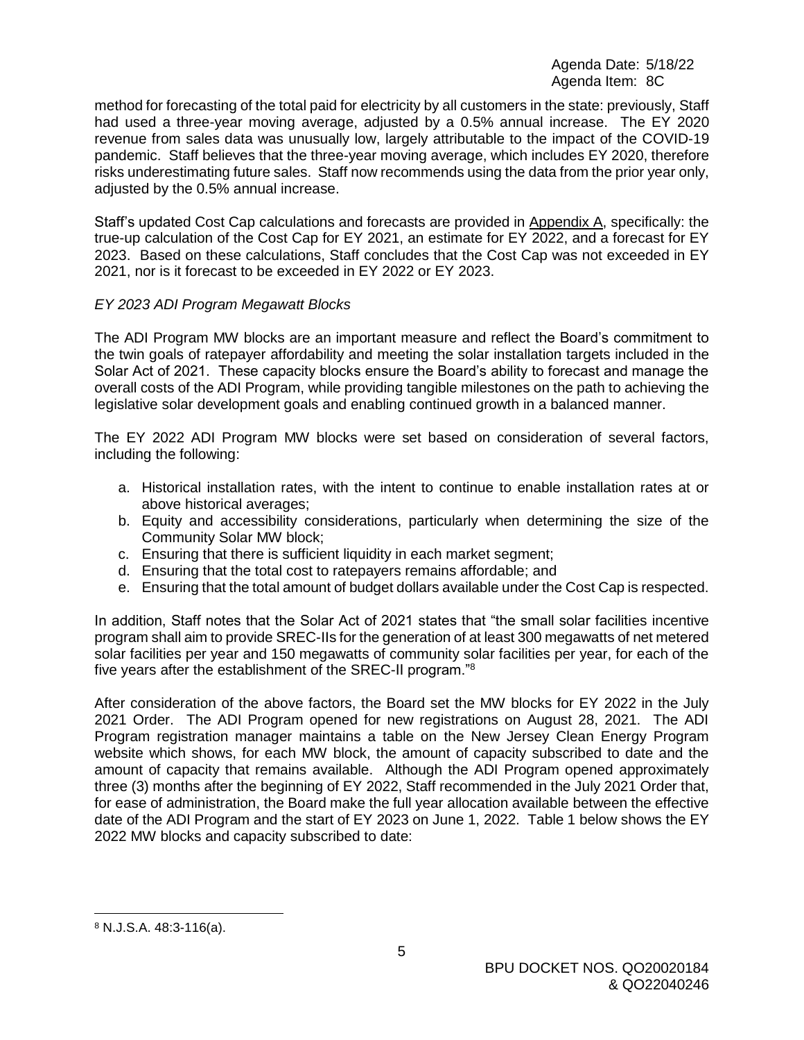method for forecasting of the total paid for electricity by all customers in the state: previously, Staff had used a three-year moving average, adjusted by a 0.5% annual increase. The EY 2020 revenue from sales data was unusually low, largely attributable to the impact of the COVID-19 pandemic. Staff believes that the three-year moving average, which includes EY 2020, therefore risks underestimating future sales. Staff now recommends using the data from the prior year only, adjusted by the 0.5% annual increase.

Staff's updated Cost Cap calculations and forecasts are provided in Appendix A, specifically: the true-up calculation of the Cost Cap for EY 2021, an estimate for EY 2022, and a forecast for EY 2023. Based on these calculations, Staff concludes that the Cost Cap was not exceeded in EY 2021, nor is it forecast to be exceeded in EY 2022 or EY 2023.

## *EY 2023 ADI Program Megawatt Blocks*

The ADI Program MW blocks are an important measure and reflect the Board's commitment to the twin goals of ratepayer affordability and meeting the solar installation targets included in the Solar Act of 2021. These capacity blocks ensure the Board's ability to forecast and manage the overall costs of the ADI Program, while providing tangible milestones on the path to achieving the legislative solar development goals and enabling continued growth in a balanced manner.

The EY 2022 ADI Program MW blocks were set based on consideration of several factors, including the following:

- a. Historical installation rates, with the intent to continue to enable installation rates at or above historical averages;
- b. Equity and accessibility considerations, particularly when determining the size of the Community Solar MW block;
- c. Ensuring that there is sufficient liquidity in each market segment;
- d. Ensuring that the total cost to ratepayers remains affordable; and
- e. Ensuring that the total amount of budget dollars available under the Cost Cap is respected.

In addition, Staff notes that the Solar Act of 2021 states that "the small solar facilities incentive program shall aim to provide SREC-IIs for the generation of at least 300 megawatts of net metered solar facilities per year and 150 megawatts of community solar facilities per year, for each of the five years after the establishment of the SREC-II program."<sup>8</sup>

After consideration of the above factors, the Board set the MW blocks for EY 2022 in the July 2021 Order. The ADI Program opened for new registrations on August 28, 2021. The ADI Program registration manager maintains a table on the New Jersey Clean Energy Program website which shows, for each MW block, the amount of capacity subscribed to date and the amount of capacity that remains available. Although the ADI Program opened approximately three (3) months after the beginning of EY 2022, Staff recommended in the July 2021 Order that, for ease of administration, the Board make the full year allocation available between the effective date of the ADI Program and the start of EY 2023 on June 1, 2022. Table 1 below shows the EY 2022 MW blocks and capacity subscribed to date:

<sup>8</sup> N.J.S.A. 48:3-116(a).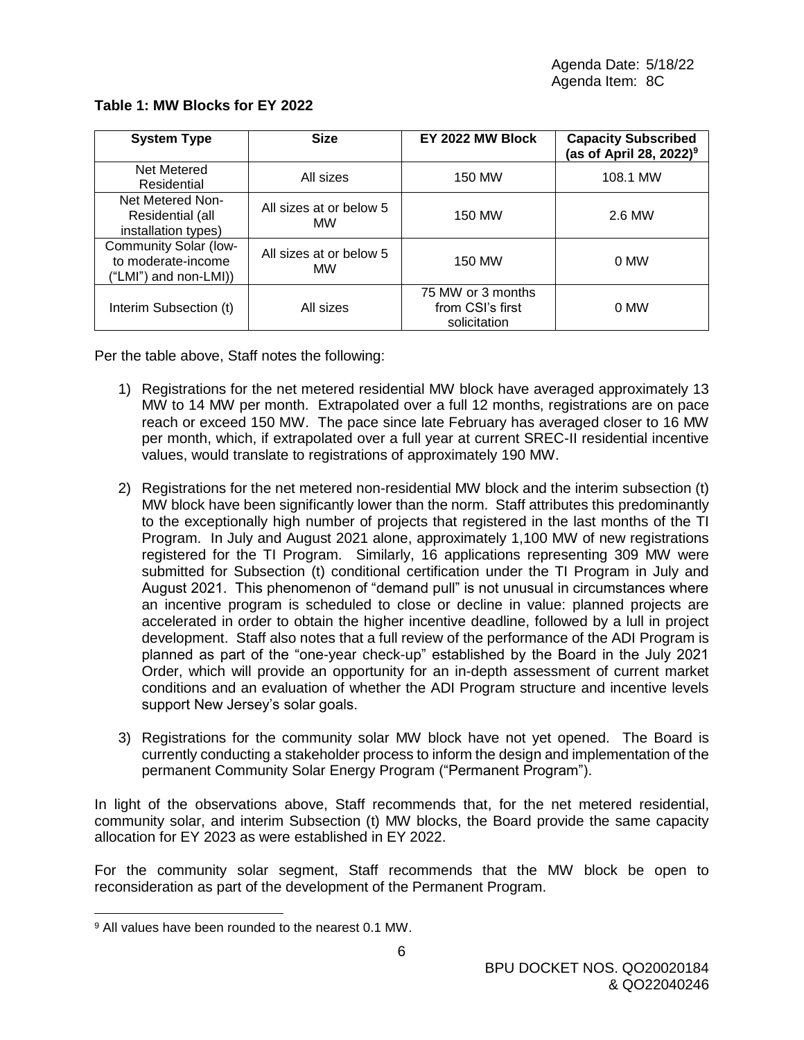| <b>System Type</b>                                                   | <b>Size</b>                          | EY 2022 MW Block                                      | <b>Capacity Subscribed</b><br>(as of April 28, 2022) <sup>9</sup> |  |
|----------------------------------------------------------------------|--------------------------------------|-------------------------------------------------------|-------------------------------------------------------------------|--|
| Net Metered<br>Residential                                           | All sizes                            | 150 MW                                                | 108.1 MW                                                          |  |
| Net Metered Non-<br>Residential (all<br>installation types)          | All sizes at or below 5<br><b>MW</b> | 150 MW                                                | 2.6 MW                                                            |  |
| Community Solar (low-<br>to moderate-income<br>("LMI") and non-LMI)) | All sizes at or below 5<br><b>MW</b> | 150 MW                                                | 0 MW                                                              |  |
| Interim Subsection (t)                                               | All sizes                            | 75 MW or 3 months<br>from CSI's first<br>solicitation | 0 MW                                                              |  |

# **Table 1: MW Blocks for EY 2022**

Per the table above, Staff notes the following:

- 1) Registrations for the net metered residential MW block have averaged approximately 13 MW to 14 MW per month. Extrapolated over a full 12 months, registrations are on pace reach or exceed 150 MW. The pace since late February has averaged closer to 16 MW per month, which, if extrapolated over a full year at current SREC-II residential incentive values, would translate to registrations of approximately 190 MW.
- 2) Registrations for the net metered non-residential MW block and the interim subsection (t) MW block have been significantly lower than the norm. Staff attributes this predominantly to the exceptionally high number of projects that registered in the last months of the TI Program. In July and August 2021 alone, approximately 1,100 MW of new registrations registered for the TI Program. Similarly, 16 applications representing 309 MW were submitted for Subsection (t) conditional certification under the TI Program in July and August 2021. This phenomenon of "demand pull" is not unusual in circumstances where an incentive program is scheduled to close or decline in value: planned projects are accelerated in order to obtain the higher incentive deadline, followed by a lull in project development. Staff also notes that a full review of the performance of the ADI Program is planned as part of the "one-year check-up" established by the Board in the July 2021 Order, which will provide an opportunity for an in-depth assessment of current market conditions and an evaluation of whether the ADI Program structure and incentive levels support New Jersey's solar goals.
- 3) Registrations for the community solar MW block have not yet opened. The Board is currently conducting a stakeholder process to inform the design and implementation of the permanent Community Solar Energy Program ("Permanent Program").

In light of the observations above, Staff recommends that, for the net metered residential, community solar, and interim Subsection (t) MW blocks, the Board provide the same capacity allocation for EY 2023 as were established in EY 2022.

For the community solar segment, Staff recommends that the MW block be open to reconsideration as part of the development of the Permanent Program.

<sup>9</sup> All values have been rounded to the nearest 0.1 MW.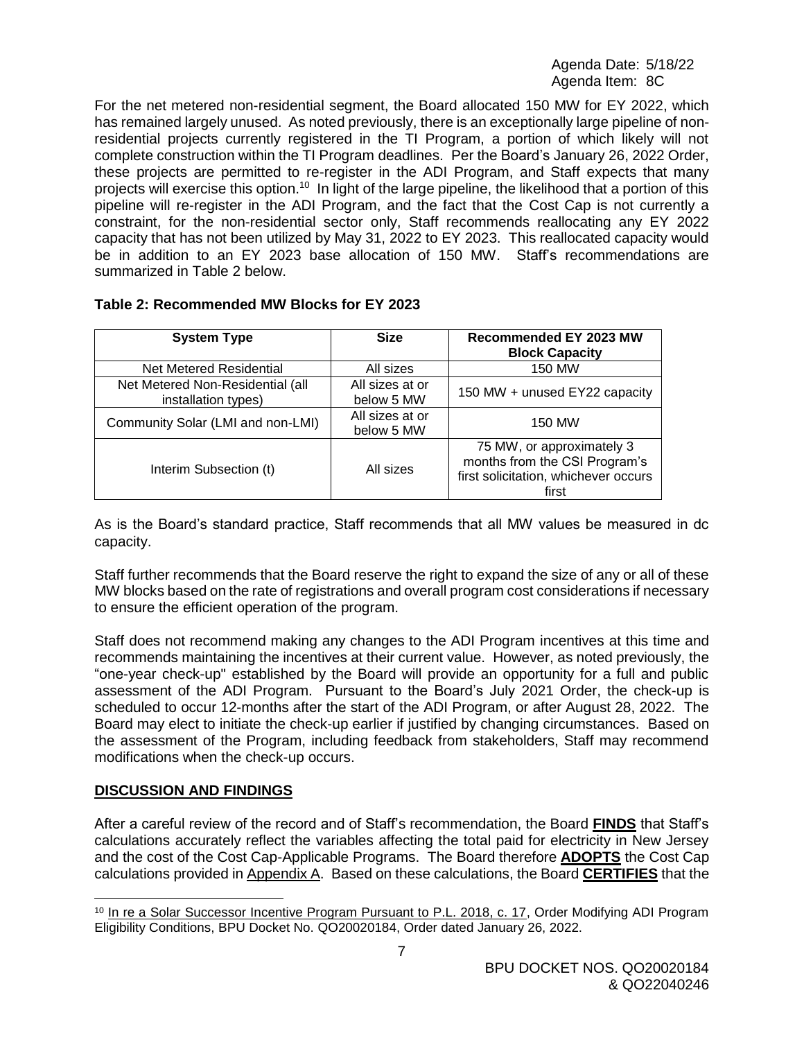For the net metered non-residential segment, the Board allocated 150 MW for EY 2022, which has remained largely unused. As noted previously, there is an exceptionally large pipeline of nonresidential projects currently registered in the TI Program, a portion of which likely will not complete construction within the TI Program deadlines. Per the Board's January 26, 2022 Order, these projects are permitted to re-register in the ADI Program, and Staff expects that many projects will exercise this option.<sup>10</sup> In light of the large pipeline, the likelihood that a portion of this pipeline will re-register in the ADI Program, and the fact that the Cost Cap is not currently a constraint, for the non-residential sector only, Staff recommends reallocating any EY 2022 capacity that has not been utilized by May 31, 2022 to EY 2023. This reallocated capacity would be in addition to an EY 2023 base allocation of 150 MW. Staff's recommendations are summarized in Table 2 below.

| <b>System Type</b>                                      | <b>Size</b>                   | Recommended EY 2023 MW<br><b>Block Capacity</b>                                                             |
|---------------------------------------------------------|-------------------------------|-------------------------------------------------------------------------------------------------------------|
| Net Metered Residential                                 | All sizes                     | 150 MW                                                                                                      |
| Net Metered Non-Residential (all<br>installation types) | All sizes at or<br>below 5 MW | 150 MW + unused EY22 capacity                                                                               |
| Community Solar (LMI and non-LMI)                       | All sizes at or<br>below 5 MW | 150 MW                                                                                                      |
| Interim Subsection (t)                                  | All sizes                     | 75 MW, or approximately 3<br>months from the CSI Program's<br>first solicitation, whichever occurs<br>first |

# **Table 2: Recommended MW Blocks for EY 2023**

As is the Board's standard practice, Staff recommends that all MW values be measured in dc capacity.

Staff further recommends that the Board reserve the right to expand the size of any or all of these MW blocks based on the rate of registrations and overall program cost considerations if necessary to ensure the efficient operation of the program.

Staff does not recommend making any changes to the ADI Program incentives at this time and recommends maintaining the incentives at their current value. However, as noted previously, the "one-year check-up" established by the Board will provide an opportunity for a full and public assessment of the ADI Program. Pursuant to the Board's July 2021 Order, the check-up is scheduled to occur 12-months after the start of the ADI Program, or after August 28, 2022. The Board may elect to initiate the check-up earlier if justified by changing circumstances. Based on the assessment of the Program, including feedback from stakeholders, Staff may recommend modifications when the check-up occurs.

# **DISCUSSION AND FINDINGS**

After a careful review of the record and of Staff's recommendation, the Board **FINDS** that Staff's calculations accurately reflect the variables affecting the total paid for electricity in New Jersey and the cost of the Cost Cap-Applicable Programs. The Board therefore **ADOPTS** the Cost Cap calculations provided in Appendix A. Based on these calculations, the Board **CERTIFIES** that the

 <sup>10</sup> In re a Solar Successor Incentive Program Pursuant to P.L. 2018, c. 17, Order Modifying ADI Program Eligibility Conditions, BPU Docket No. QO20020184, Order dated January 26, 2022.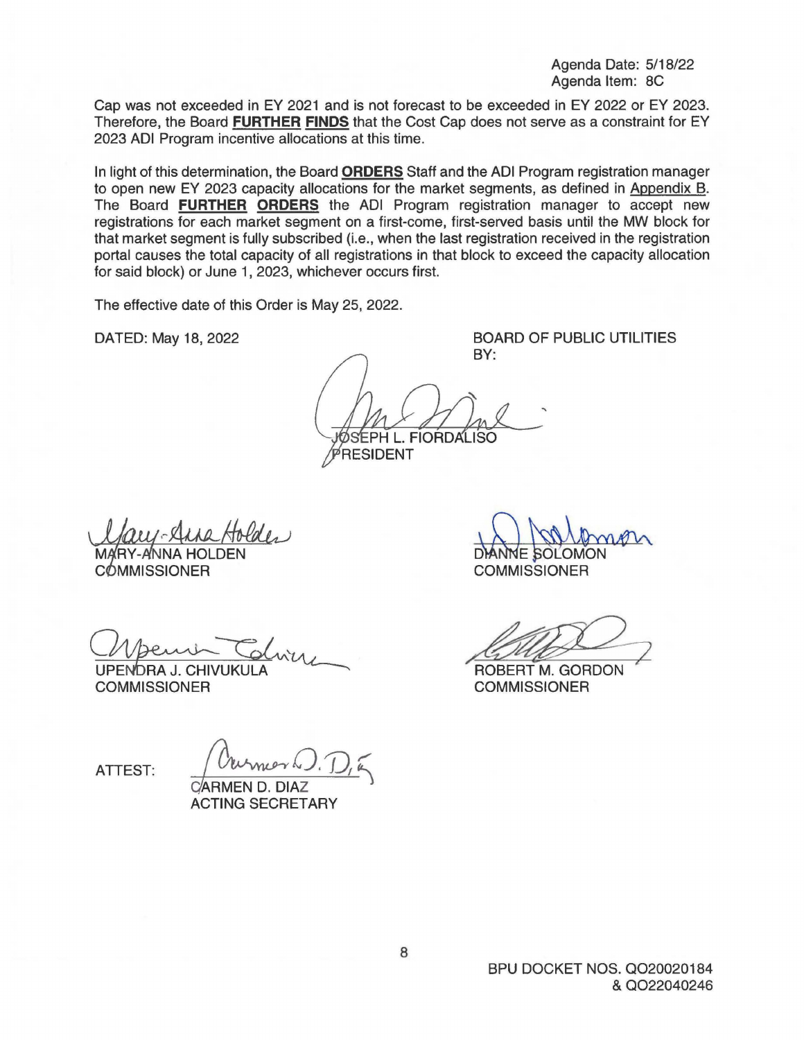Cap was not exceeded in EY 2021 and is not forecast to be exceeded in EY 2022 or EY 2023. Therefore, the Board **FURTHER FINDS** that the Cost Cap does not serve as a constraint for EY 2023 ADI Program incentive allocations at this time.

In light of this determination, the Board **ORDERS** Staff and the ADI Program registration manager to open new EY 2023 capacity allocations for the market segments, as defined in Appendix B. The Board **FURTHER ORDERS** the ADI Program registration manager to accept new registrations for each market segment on a first-come, first-served basis until the MW block for that market segment is fully subscribed (i.e., when the last registration received in the registration portal causes the total capacity of all registrations in that block to exceed the capacity allocation for said block) or June 1, 2023, whichever occurs first.

The effective date of this Order is May 25, 2022.

DATED: May 18, 2022

BOARD OF PUBLIC UTILITIES BY:

SEPH L. FIORDALISO PRESIDENT

Using Arne Holden<br>
COMMISSIONER<br>
COMMISSIONER<br>
COMMISSIONER<br>
COMMISSIONER<br>
COMMISSIONER<br>
COMMISSIONER

UPENDRA J. CHIVUKULA<br>COMMISSIONER

DANNE SOLOMON **COMMISSIONER** DANNE SOLOMON<br>COMMISSIONER<br>ROBERT M. GORDON

**COMMISSIONER** 

ATTEST:  $\int$  Ourmor W. D,  $\sqrt{2}$ 

CARMEN D. DIAZ ACTING SECRETARY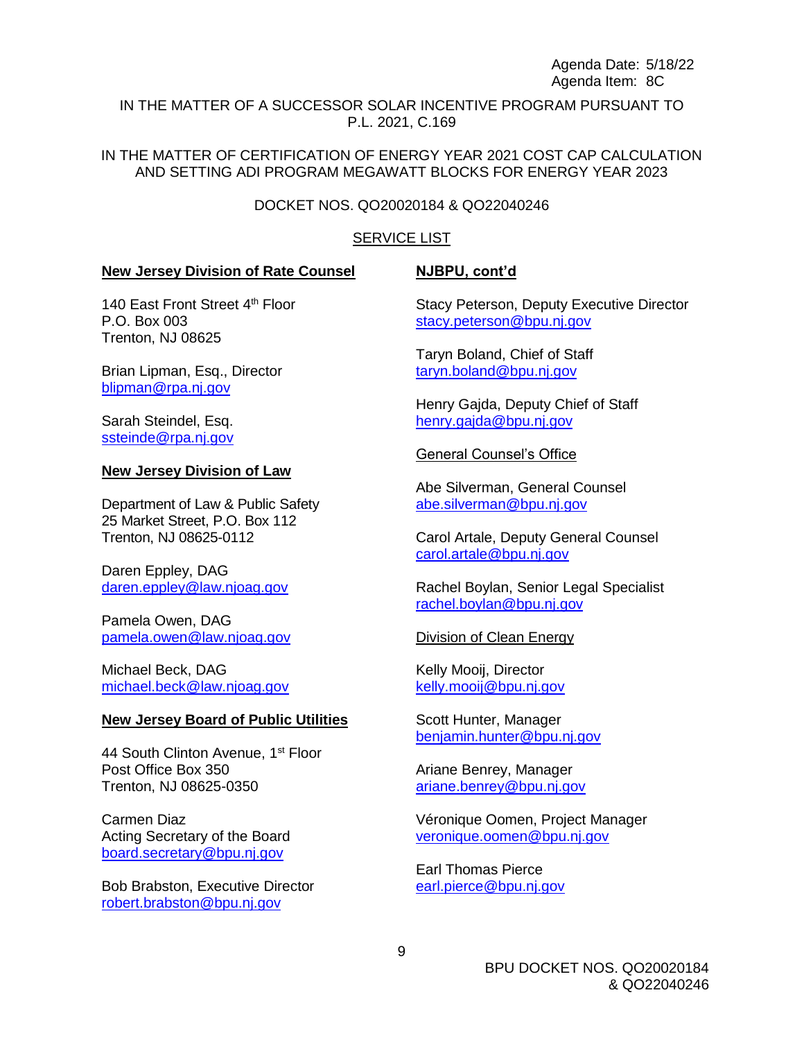IN THE MATTER OF A SUCCESSOR SOLAR INCENTIVE PROGRAM PURSUANT TO P.L. 2021, C.169

IN THE MATTER OF CERTIFICATION OF ENERGY YEAR 2021 COST CAP CALCULATION AND SETTING ADI PROGRAM MEGAWATT BLOCKS FOR ENERGY YEAR 2023

#### DOCKET NOS. QO20020184 & QO22040246

#### SERVICE LIST

#### **New Jersey Division of Rate Counsel**

#### **NJBPU, cont'd**

140 East Front Street 4<sup>th</sup> Floor P.O. Box 003 Trenton, NJ 08625

Brian Lipman, Esq., Director [blipman@rpa.nj.gov](mailto:blipman@rpa.nj.gov)

Sarah Steindel, Esq. [ssteinde@rpa.nj.gov](mailto:ssteinde@rpa.nj.gov)

#### **New Jersey Division of Law**

Department of Law & Public Safety 25 Market Street, P.O. Box 112 Trenton, NJ 08625-0112

Daren Eppley, DAG daren.eppley@law.njoag.gov

Pamela Owen, DAG [pamela.owen@law.njoag.gov](mailto:pamela.owen@law.njoag.gov)

Michael Beck, DAG [michael.beck@law.njoag.gov](mailto:michael.beck@law.njoag.gov)

#### **New Jersey Board of Public Utilities**

44 South Clinton Avenue, 1<sup>st</sup> Floor Post Office Box 350 Trenton, NJ 08625-0350

Carmen Diaz Acting Secretary of the Board [board.secretary@bpu.nj.gov](mailto:board.secretary@bpu.nj.gov)

Bob Brabston, Executive Director [robert.brabston@bpu.nj.gov](mailto:robert.brabston@bpu.nj.gov)

Stacy Peterson, Deputy Executive Director [stacy.peterson@bpu.nj.gov](mailto:stacy.peterson@bpu.nj.gov)

Taryn Boland, Chief of Staff [taryn.boland@bpu.nj.gov](mailto:taryn.boland@bpu.nj.gov)

Henry Gajda, Deputy Chief of Staff [henry.gajda@bpu.nj.gov](mailto:henry.gajda@bpu.nj.gov)

General Counsel's Office

Abe Silverman, General Counsel [abe.silverman@bpu.nj.gov](mailto:abe.silverman@bpu.nj.gov)

Carol Artale, Deputy General Counsel [carol.artale@bpu.nj.gov](mailto:carol.artale@bpu.nj.gov)

Rachel Boylan, Senior Legal Specialist [rachel.boylan@bpu.nj.gov](mailto:rachel.boylan@bpu.nj.gov)

Division of Clean Energy

Kelly Mooij, Director [kelly.mooij@bpu.nj.gov](mailto:kelly.mooij@bpu.nj.gov)

Scott Hunter, Manager [benjamin.hunter@bpu.nj.gov](mailto:benjamin.hunter@bpu.nj.gov)

Ariane Benrey, Manager [ariane.benrey@bpu.nj.gov](mailto:ariane.benrey@bpu.nj.gov)

Véronique Oomen, Project Manager [veronique.oomen@bpu.nj.gov](mailto:veronique.oomen@bpu.nj.gov)

Earl Thomas Pierce [earl.pierce@bpu.nj.gov](mailto:earl.pierce@bpu.nj.gov)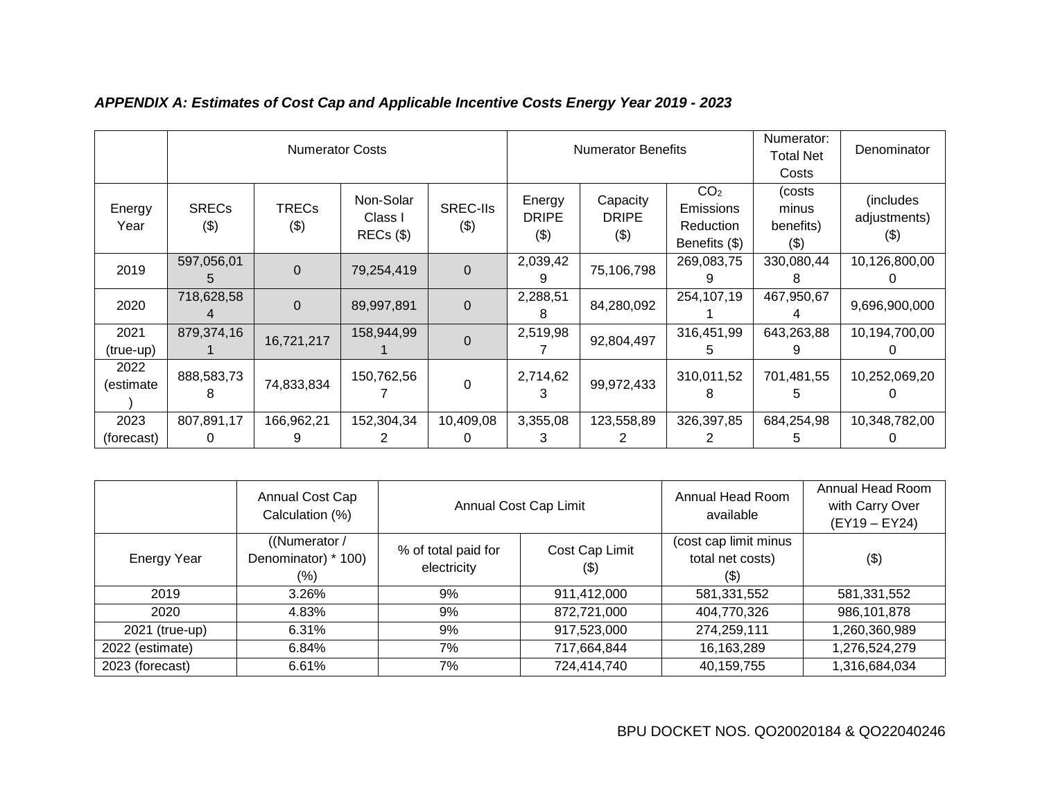|                    | <b>Numerator Costs</b>  |                     |                              | <b>Numerator Benefits</b> |                                   |                                 | Numerator:<br>Total Net<br>Costs                                         | Denominator                             |                                  |
|--------------------|-------------------------|---------------------|------------------------------|---------------------------|-----------------------------------|---------------------------------|--------------------------------------------------------------------------|-----------------------------------------|----------------------------------|
| Energy<br>Year     | <b>SRECs</b><br>$($ \$) | <b>TRECs</b><br>(3) | Non-Solar<br>Class I<br>REG( | <b>SREC-IIs</b><br>$(\$)$ | Energy<br><b>DRIPE</b><br>$($ \$) | Capacity<br><b>DRIPE</b><br>(3) | CO <sub>2</sub><br><b>Emissions</b><br><b>Reduction</b><br>Benefits (\$) | (costs<br>minus<br>benefits)<br>$($ \$) | (includes<br>adjustments)<br>(9) |
| 2019               | 597,056,01              | $\overline{0}$      | 79,254,419                   | $\Omega$                  | 2,039,42<br>9                     | 75,106,798                      | 269,083,75                                                               | 330,080,44                              | 10,126,800,00                    |
| 2020               | 718,628,58              | $\Omega$            | 89,997,891                   | $\Omega$                  | 2,288,51<br>8                     | 84,280,092                      | 254,107,19                                                               | 467,950,67                              | 9,696,900,000                    |
| 2021<br>(true-up)  | 879,374,16              | 16,721,217          | 158,944,99                   | $\Omega$                  | 2,519,98                          | 92,804,497                      | 316,451,99                                                               | 643,263,88                              | 10,194,700,00                    |
| 2022<br>(estimate  | 888,583,73              | 74,833,834          | 150,762,56                   | $\Omega$                  | 2,714,62<br>3                     | 99,972,433                      | 310,011,52                                                               | 701,481,55                              | 10,252,069,20                    |
| 2023<br>(forecast) | 807,891,17<br>0         | 166,962,21          | 152,304,34                   | 10,409,08                 | 3,355,08<br>3                     | 123,558,89                      | 326,397,85                                                               | 684,254,98                              | 10,348,782,00                    |

# *APPENDIX A: Estimates of Cost Cap and Applicable Incentive Costs Energy Year 2019 - 2023*

|                 | Annual Cost Cap<br>Calculation (%)          | Annual Cost Cap Limit              |                          | Annual Head Room<br>available                       | Annual Head Room<br>with Carry Over<br>(EY19 - EY24) |
|-----------------|---------------------------------------------|------------------------------------|--------------------------|-----------------------------------------------------|------------------------------------------------------|
| Energy Year     | ((Numerator /<br>Denominator) * 100)<br>(%) | % of total paid for<br>electricity | Cost Cap Limit<br>$(\$)$ | (cost cap limit minus<br>total net costs)<br>$(\$)$ | (3)                                                  |
| 2019            | 3.26%                                       | 9%                                 | 911,412,000              | 581,331,552                                         | 581,331,552                                          |
| 2020            | 4.83%                                       | 9%                                 | 872,721,000              | 404,770,326                                         | 986,101,878                                          |
| 2021 (true-up)  | 6.31%                                       | 9%                                 | 917,523,000              | 274,259,111                                         | 1,260,360,989                                        |
| 2022 (estimate) | 6.84%                                       | 7%                                 | 717,664,844              | 16,163,289                                          | 1,276,524,279                                        |
| 2023 (forecast) | 6.61%                                       | 7%                                 | 724,414,740              | 40,159,755                                          | 1,316,684,034                                        |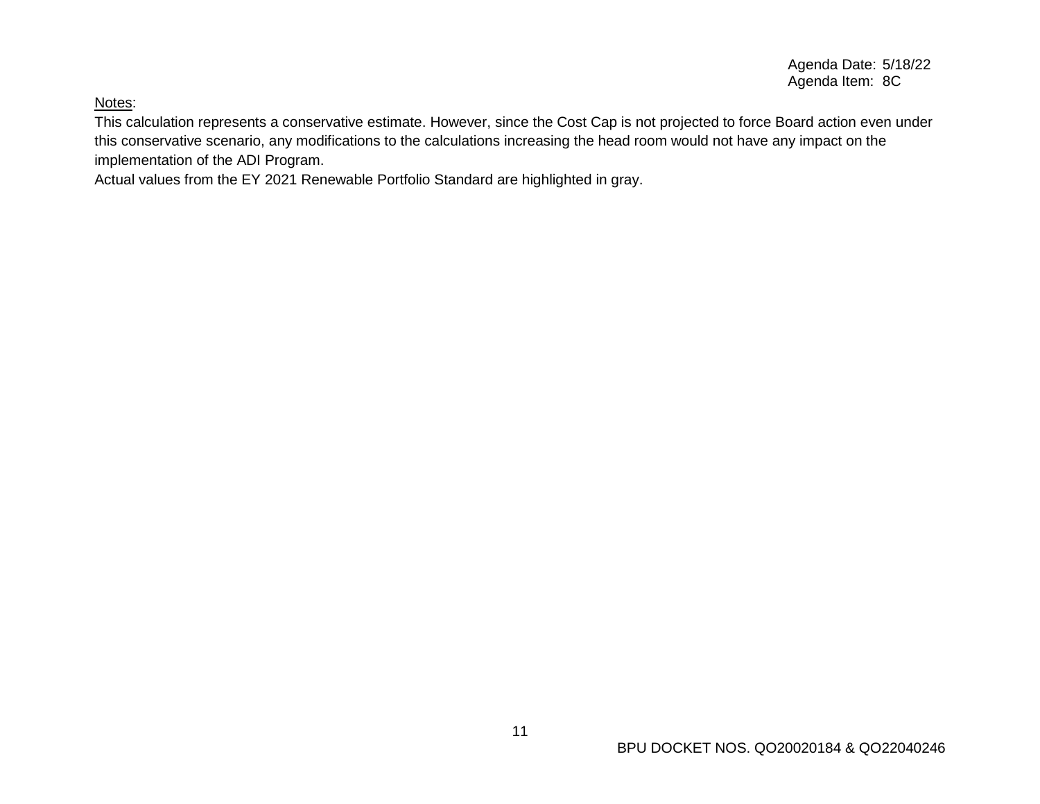# Notes:

This calculation represents a conservative estimate. However, since the Cost Cap is not projected to force Board action even under this conservative scenario, any modifications to the calculations increasing the head room would not have any impact on the implementation of the ADI Program.

Actual values from the EY 2021 Renewable Portfolio Standard are highlighted in gray.